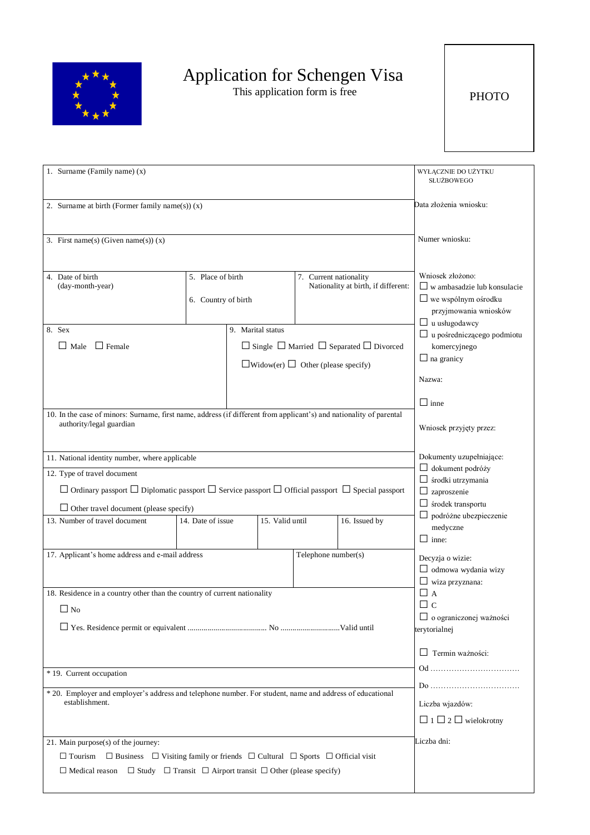

## Application for Schengen Visa

This application form is free

PHOTO

| 1. Surname (Family name) (x)                                                                                                 |                     |                   |                 | WYŁĄCZNIE DO UŻYTKU<br>SŁUŻBOWEGO              |                                                               |                                             |
|------------------------------------------------------------------------------------------------------------------------------|---------------------|-------------------|-----------------|------------------------------------------------|---------------------------------------------------------------|---------------------------------------------|
| 2. Surname at birth (Former family name(s)) $(x)$                                                                            |                     |                   |                 | Data złożenia wniosku:                         |                                                               |                                             |
|                                                                                                                              |                     |                   |                 |                                                |                                                               |                                             |
| 3. First name(s) (Given name(s)) $(x)$                                                                                       |                     |                   |                 |                                                | Numer wniosku:                                                |                                             |
|                                                                                                                              |                     |                   |                 |                                                |                                                               |                                             |
| 4. Date of birth                                                                                                             | 5. Place of birth   |                   |                 | 7. Current nationality                         |                                                               | Wniosek złożono:                            |
| (day-month-year)                                                                                                             |                     |                   |                 | Nationality at birth, if different:            | $\Box$ w ambasadzie lub konsulacie                            |                                             |
|                                                                                                                              | 6. Country of birth |                   |                 |                                                |                                                               | $\Box$ we wspólnym ośrodku                  |
|                                                                                                                              |                     |                   |                 |                                                |                                                               | przyjmowania wniosków<br>u usługodawcy<br>ш |
| 8. Sex                                                                                                                       |                     | 9. Marital status |                 |                                                |                                                               | u pośredniczącego podmiotu                  |
| $\Box$ Female<br>$\Box$ Male                                                                                                 |                     |                   |                 |                                                | $\Box$ Single $\Box$ Married $\Box$ Separated $\Box$ Divorced | komercyjnego                                |
|                                                                                                                              |                     |                   |                 | $\Box$ Widow(er) $\Box$ Other (please specify) |                                                               | $\Box$ na granicy                           |
|                                                                                                                              |                     |                   |                 |                                                |                                                               | Nazwa:                                      |
|                                                                                                                              |                     |                   |                 |                                                |                                                               | $\Box$ inne                                 |
| 10. In the case of minors: Surname, first name, address (if different from applicant's) and nationality of parental          |                     |                   |                 |                                                |                                                               |                                             |
| authority/legal guardian                                                                                                     |                     |                   |                 |                                                |                                                               | Wniosek przyjęty przez:                     |
|                                                                                                                              |                     |                   |                 |                                                |                                                               |                                             |
| 11. National identity number, where applicable                                                                               |                     |                   |                 |                                                | Dokumenty uzupełniające:<br>$\Box$ dokument podróży           |                                             |
| 12. Type of travel document                                                                                                  |                     |                   |                 |                                                |                                                               | $\Box$ środki utrzymania                    |
| $\Box$ Ordinary passport $\Box$ Diplomatic passport $\Box$ Service passport $\Box$ Official passport $\Box$ Special passport |                     |                   |                 | $\Box$ zaproszenie                             |                                                               |                                             |
| $\Box$ Other travel document (please specify)                                                                                |                     |                   |                 |                                                |                                                               | $\Box$ środek transportu                    |
| 13. Number of travel document                                                                                                | 14. Date of issue   |                   | 15. Valid until |                                                | 16. Issued by                                                 | $\Box$ podróżne ubezpieczenie<br>medyczne   |
|                                                                                                                              |                     |                   |                 |                                                |                                                               | $\Box$ inne:                                |
| 17. Applicant's home address and e-mail address                                                                              |                     |                   |                 | Telephone number(s)                            |                                                               | Decyzja o wizie:                            |
|                                                                                                                              |                     |                   |                 |                                                |                                                               | $\Box$ odmowa wydania wizy                  |
|                                                                                                                              |                     |                   |                 |                                                |                                                               | $\Box$ wiza przyznana:                      |
| 18. Residence in a country other than the country of current nationality                                                     |                     |                   |                 |                                                |                                                               | $\Box$ A                                    |
| $\Box$ No                                                                                                                    |                     |                   |                 |                                                |                                                               | $\Box$ c<br>$\Box$ o ograniczonej ważności  |
|                                                                                                                              |                     |                   |                 | terytorialnej                                  |                                                               |                                             |
|                                                                                                                              |                     |                   |                 |                                                |                                                               |                                             |
|                                                                                                                              |                     |                   |                 |                                                |                                                               | Termin ważności:                            |
| * 19. Current occupation                                                                                                     |                     |                   |                 |                                                |                                                               |                                             |
| * 20. Employer and employer's address and telephone number. For student, name and address of educational                     |                     |                   |                 |                                                |                                                               |                                             |
| establishment.                                                                                                               |                     |                   |                 | Liczba wjazdów:                                |                                                               |                                             |
|                                                                                                                              |                     |                   |                 |                                                |                                                               | $\Box$ 1 $\Box$ 2 $\Box$ wielokrotny        |
| 21. Main purpose(s) of the journey:                                                                                          |                     |                   |                 | Liczba dni:                                    |                                                               |                                             |
| $\Box$ Business $\Box$ Visiting family or friends $\Box$ Cultural $\Box$ Sports $\Box$ Official visit<br>$\Box$ Tourism      |                     |                   |                 |                                                |                                                               |                                             |
| $\Box$ Medical reason $\Box$ Study $\Box$ Transit $\Box$ Airport transit $\Box$ Other (please specify)                       |                     |                   |                 |                                                |                                                               |                                             |
|                                                                                                                              |                     |                   |                 |                                                |                                                               |                                             |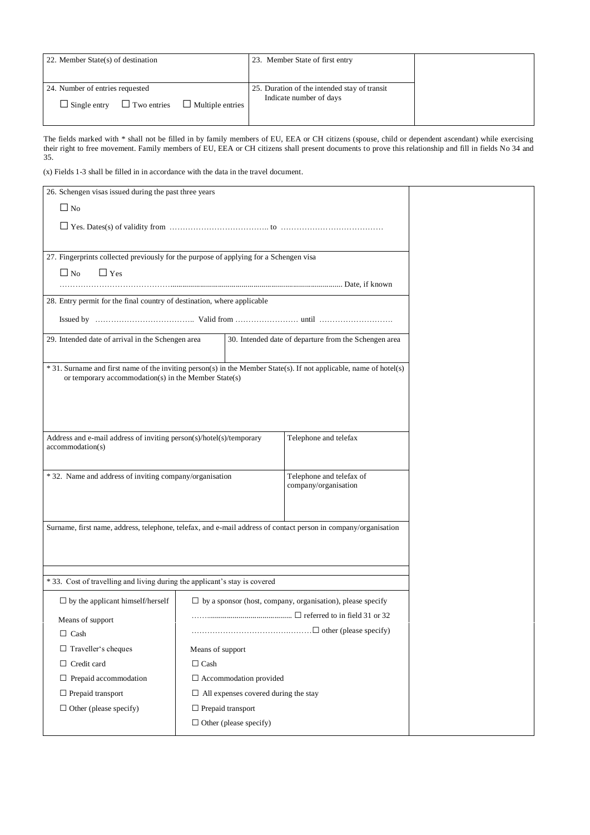| 22. Member State(s) of destination        |                         | 23. Member State of first entry              |  |
|-------------------------------------------|-------------------------|----------------------------------------------|--|
|                                           |                         |                                              |  |
| 24. Number of entries requested           |                         | 25. Duration of the intended stay of transit |  |
| $\Box$ Two entries<br>$\Box$ Single entry | $\Box$ Multiple entries | Indicate number of days                      |  |
|                                           |                         |                                              |  |

The fields marked with \* shall not be filled in by family members of EU, EEA or CH citizens (spouse, child or dependent ascendant) while exercising their right to free movement. Family members of EU, EEA or CH citizens shall present documents to prove this relationship and fill in fields No 34 and 35.

(x) Fields 1-3 shall be filled in in accordance with the data in the travel document.

| 26. Schengen visas issued during the past three years                                                                                                                      |                                             |                                                                   |  |
|----------------------------------------------------------------------------------------------------------------------------------------------------------------------------|---------------------------------------------|-------------------------------------------------------------------|--|
| $\Box$ No                                                                                                                                                                  |                                             |                                                                   |  |
|                                                                                                                                                                            |                                             |                                                                   |  |
|                                                                                                                                                                            |                                             |                                                                   |  |
|                                                                                                                                                                            |                                             |                                                                   |  |
| 27. Fingerprints collected previously for the purpose of applying for a Schengen visa<br>$\Box$ No<br>$\Box$ Yes                                                           |                                             |                                                                   |  |
|                                                                                                                                                                            |                                             |                                                                   |  |
| 28. Entry permit for the final country of destination, where applicable                                                                                                    |                                             |                                                                   |  |
|                                                                                                                                                                            |                                             |                                                                   |  |
|                                                                                                                                                                            |                                             |                                                                   |  |
| 29. Intended date of arrival in the Schengen area                                                                                                                          |                                             | 30. Intended date of departure from the Schengen area             |  |
|                                                                                                                                                                            |                                             |                                                                   |  |
| * 31. Surname and first name of the inviting person(s) in the Member State(s). If not applicable, name of hotel(s)<br>or temporary accommodation(s) in the Member State(s) |                                             |                                                                   |  |
|                                                                                                                                                                            |                                             |                                                                   |  |
|                                                                                                                                                                            |                                             |                                                                   |  |
|                                                                                                                                                                            |                                             |                                                                   |  |
| Address and e-mail address of inviting person(s)/hotel(s)/temporary                                                                                                        |                                             | Telephone and telefax                                             |  |
| accommodation(s)                                                                                                                                                           |                                             |                                                                   |  |
|                                                                                                                                                                            |                                             |                                                                   |  |
| * 32. Name and address of inviting company/organisation                                                                                                                    |                                             | Telephone and telefax of                                          |  |
|                                                                                                                                                                            |                                             | company/organisation                                              |  |
|                                                                                                                                                                            |                                             |                                                                   |  |
| Surname, first name, address, telephone, telefax, and e-mail address of contact person in company/organisation                                                             |                                             |                                                                   |  |
|                                                                                                                                                                            |                                             |                                                                   |  |
|                                                                                                                                                                            |                                             |                                                                   |  |
|                                                                                                                                                                            |                                             |                                                                   |  |
| * 33. Cost of travelling and living during the applicant's stay is covered                                                                                                 |                                             |                                                                   |  |
| $\Box$ by the applicant himself/herself                                                                                                                                    |                                             | $\Box$ by a sponsor (host, company, organisation), please specify |  |
|                                                                                                                                                                            | $\ldots$ referred to in field 31 or 32      |                                                                   |  |
| Means of support                                                                                                                                                           |                                             |                                                                   |  |
| $\Box$ Cash                                                                                                                                                                |                                             |                                                                   |  |
| $\Box$ Traveller's cheques                                                                                                                                                 | Means of support                            |                                                                   |  |
| $\Box$ Credit card                                                                                                                                                         | $\Box$ Cash                                 |                                                                   |  |
| $\Box$ Prepaid accommodation                                                                                                                                               | $\Box$ Accommodation provided               |                                                                   |  |
| $\Box$ Prepaid transport                                                                                                                                                   | $\Box$ All expenses covered during the stay |                                                                   |  |
| $\Box$ Other (please specify)                                                                                                                                              | $\Box$ Prepaid transport                    |                                                                   |  |
| $\Box$ Other (please specify)                                                                                                                                              |                                             |                                                                   |  |